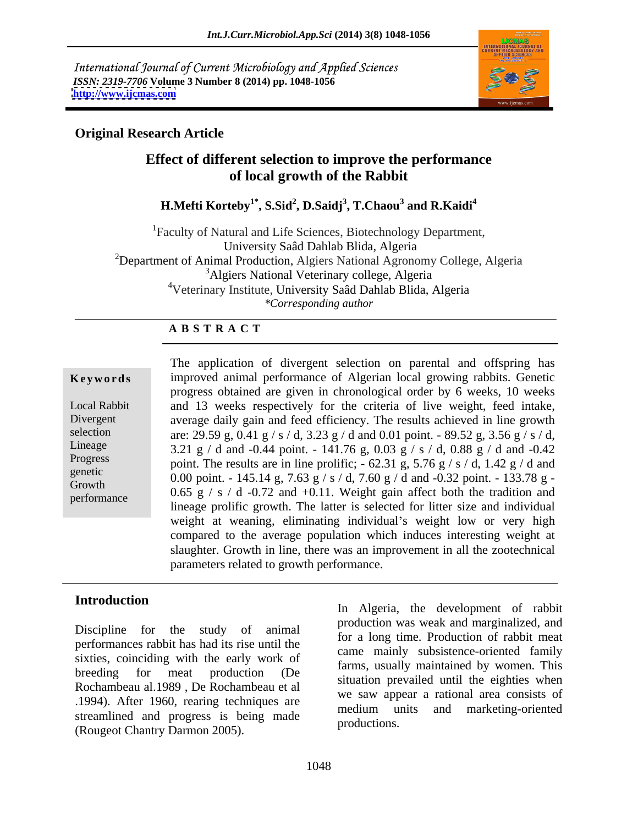International Journal of Current Microbiology and Applied Sciences *ISSN: 2319-7706* **Volume 3 Number 8 (2014) pp. 1048-1056 <http://www.ijcmas.com>**



# **Original Research Article**

# **Effect of different selection to improve the performance of local growth of the Rabbit**

**H.Mefti Korteby1\* , S.Sid<sup>2</sup> , D.Saidj<sup>3</sup> , T.Chaou<sup>3</sup> and R.Kaidi<sup>4</sup>**

1Faculty of Natural and Life Sciences, Biotechnology Department, University Saâd Dahlab Blida, Algeria <sup>2</sup>Department of Animal Production, Algiers National Agronomy College, Algeria <sup>3</sup>Algiers National Veterinary college, Algeria 4Veterinary Institute, University Saâd Dahlab Blida, Algeria *\*Corresponding author* 

## **A B S T R A C T**

**Keywords** improved animal performance of Algerian local growing rabbits. Genetic Local Rabbit and 13 weeks respectively for the criteria of live weight, feed intake, Divergent average daily gain and feed efficiency. The results achieved in line growth selection are: 29.59 g, 0.41 g / s / d, 3.23 g / d and 0.01 point. - 89.52 g, 3.56 g / s / d, Lineage 3.21 g / d and -0.44 point. - 141.76 g, 0.03 g / s / d, 0.88 g / d and -0.42 Progress point. The results are in line prolific;  $-62.31 \text{ g}$ ,  $5.76 \text{ g}$  / s / d,  $1.42 \text{ g}$  / d and genetic<br>  $0.00 \text{ point.} - 145.14 \text{ g}, 7.63 \text{ g/s/d}, 7.60 \text{ g/d} \text{ and } -0.32 \text{ point.} -133.78 \text{ g} -$ Growth  $0.65 \times 1.1 \times 0.72 \times 1.0.11$  Weight of the construction of the function of the construction of the construction of the construction of the construction of the construction of the construction of the construction of performance  $0.65 \frac{g}{s}$  / s / d -0.72 and +0.11. Weight gain affect both the tradition and The application of divergent selection on parental and offspring has progress obtained are given in chronological order by 6 weeks, 10 weeks lineage prolific growth. The latter is selected for litter size and individual weight at weaning, eliminating individual's weight low or very high compared to the average population which induces interesting weight at slaughter. Growth in line, there was an improvement in all the zootechnical parameters related to growth performance.

performances rabbit has had its rise until the sixties, coinciding with the early work of Rochambeau al.1989 , De Rochambeau et al .1994). After 1960, rearing techniques are medium units and marketing-oriented streamlined and progress is being made medium and productions. (Rougeot Chantry Darmon 2005).

**In troduction** and **In Algeria** the development of residual Discipline for the study of animal production was wear and marginarized, and breeding for meat production (De rainis, usually maintained by women. This In Algeria, the development of rabbit production was weak and marginalized, and for a long time. Production of rabbit meat came mainly subsistence-oriented family farms, usually maintained by women. This situation prevailed until the eighties when we saw appear a rational area consists of medium units and marketing-oriented productions.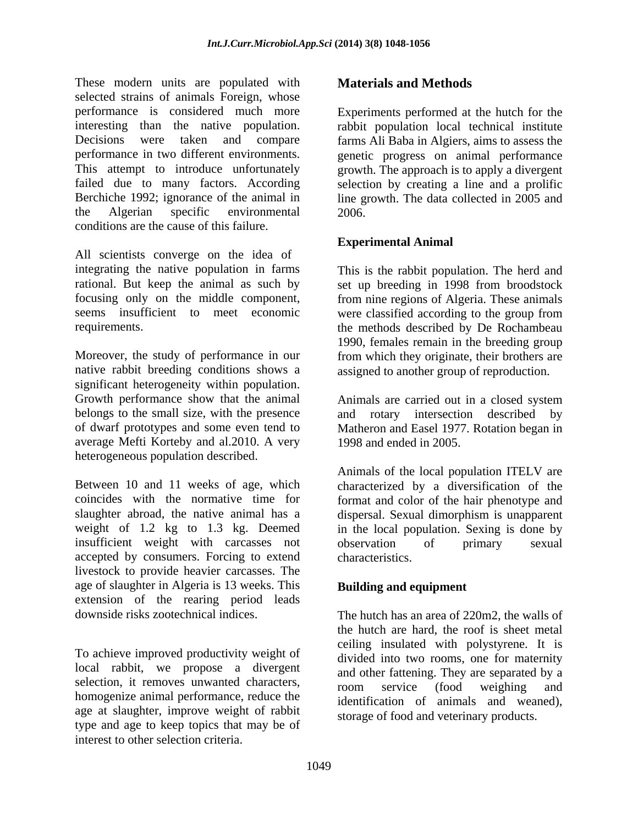These modern units are populated with selected strains of animals Foreign, whose performance is considered much more Experiments performed at the hutch for the interesting than the native population. rabbit population local technical institute Decisions were taken and compare farms Ali Baba in Algiers, aims to assess the performance in two different environments. genetic progress on animal performance This attempt to introduce unfortunately growth. The approach is to apply a divergent failed due to many factors. According selection by creating a line and a prolific Berchiche 1992; ignorance of the animal in line growth. The data collected in 2005 and the Algerian specific environmental conditions are the cause of this failure.

All scientists converge on the idea of integrating the native population in farms This is the rabbit population. The herd and rational. But keep the animal as such by set up breeding in 1998 from broodstock focusing only on the middle component, from nine regions of Algeria. These animals seems insufficient to meet economic were classified according to the group from

Moreover, the study of performance in our from which they originate, their brothers are native rabbit breeding conditions shows a assigned to another group of reproduction. significant heterogeneity within population. Growth performance show that the animal Animals are carried out in a closed system belongs to the small size, with the presence and rotary intersection described by of dwarf prototypes and some even tend to Matheron and Easel 1977. Rotation began in average Mefti Korteby and al.2010. A very heterogeneous population described.

Between 10 and 11 weeks of age, which characterized by a diversification of the coincides with the normative time for format and color of the hair phenotype and slaughter abroad, the native animal has a dispersal. Sexual dimorphism is unapparent weight of 1.2 kg to 1.3 kg. Deemed in the local population. Sexing is done by insufficient weight with carcasses not observation of primary sexual accepted by consumers. Forcing to extend livestock to provide heavier carcasses. The age of slaughter in Algeria is 13 weeks. This extension of the rearing period leads<br>downside risks zootechnical indices

To achieve improved productivity weight of local rabbit, we propose a divergent selection, it removes unwanted characters,<br>room service (food weighing and homogenize animal performance, reduce the age at slaughter, improve weight of rabbit type and age to keep topics that may be of interest to other selection criteria.

# **Materials and Methods**

2006.

## **Experimental Animal**

requirements. the methods described by De Rochambeau 1990, females remain in the breeding group

1998 and ended in 2005.

Animals of the local population ITELV are observation of primary sexual characteristics.

# **Building and equipment**

downside risks zootechnical indices. The hutch has an area of 220m2, the walls of the hutch are hard, the roof is sheet metal ceiling insulated with polystyrene. It is divided into two rooms, one for maternity and other fattening. They are separated by a room service (food weighing and identification of animals and weaned), storage of food and veterinary products.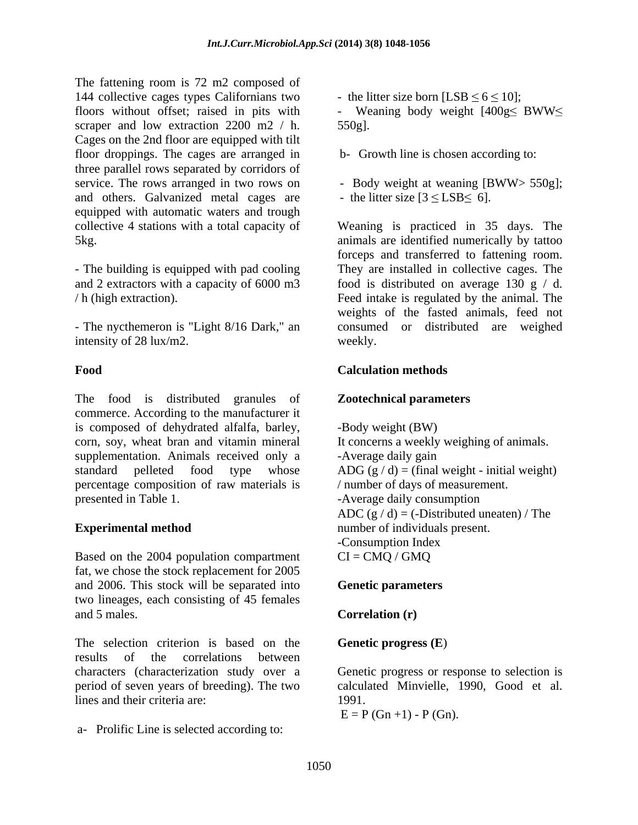The fattening room is 72 m2 composed of 144 collective cages types Californians two floors without offset; raised in pits with - Weaning body weight  $[400g < BWW <$ scraper and low extraction 2200 m2 / h. 550g]. Cages on the 2nd floor are equipped with tilt floor droppings. The cages are arranged in three parallel rows separated by corridors of service. The rows arranged in two rows on - Body weight at weaning [BWW> 550g]; and others. Galvanized metal cages are  $\qquad$  - the litter size  $[3 \leq$  LSB $\leq$  6]. equipped with automatic waters and trough collective 4 stations with a total capacity of Weaning is practiced in 35 days. The 5kg. animals are identified numerically by tattoo

- The building is equipped with pad cooling

- The nycthemeron is "Light 8/16 Dark," an intensity of 28 lux/m2. weekly.

The food is distributed granules of commerce. According to the manufacturer it is composed of dehydrated alfalfa, barley, corn, soy, wheat bran and vitamin mineral supplementation. Animals received only a -Average daily gain standard pelleted food type whose  $\triangle$  ADG (g / d) = (final weight - initial weight) percentage composition of raw materials is presented in Table 1. -Average daily consumption

Based on the 2004 population compartment  $CI = CMQ / GMQ$ fat, we chose the stock replacement for 2005 and 2006. This stock will be separated into **Genetic parameters** two lineages, each consisting of 45 females and 5 males. **Correlation (r)** 

The selection criterion is based on the results of the correlations between characters (characterization study over a Genetic progress or response to selection is period of seven years of breeding). The two lines and their criteria are: 1991.

a- Prolific Line is selected according to:

- the litter size born [LSB  $\leq 6 \leq 10$ ];

- Weaning body weight  $[400g\leq BWW\leq$  $550g$ ].

b- Growth line is chosen according to:

- 
- the litter size  $[3 \leq LSB \leq 6]$ .

and 2 extractors with a capacity of 6000 m3 food is distributed on average 130 g / d. / h (high extraction). Feed intake is regulated by the animal. The forceps and transferred to fattening room. They are installed in collective cages. The weights of the fasted animals, feed not consumed or distributed areweighed weekly.

## **Food** Calculation methods Calculation of the state of the state of the state of the state of the state of the state of the state of the state of the state of the state of the state of the state of the state of the state o **Calculation methods**

# **Zootechnical parameters**

**Experimental method** number of individuals present. -Body weight (BW) It concerns a weekly weighing of animals. -Average daily gain / number of days of measurement. ADC  $(g/d) = (-Distributed uneaten) / The$ -Consumption Index  $CI = CMQ / GMQ$ 

## **Genetic parameters**

## **Correlation (r)**

## **Genetic progress (E**)

calculated Minvielle, 1990, Good et al. 1991.

 $E = P(Gn +1) - P(Gn)$ .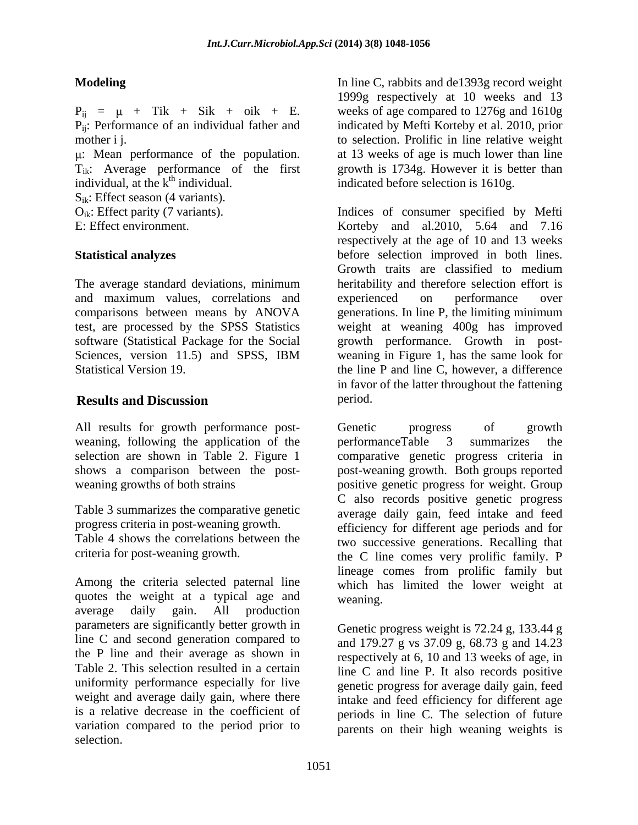: Mean performance of the population.  $T_{ik}$ : Average performance of the first individual, at the  $k^{th}$  individual. individual, at the  $k<sup>th</sup>$  individual.  $\qquad \qquad$  indicated before selection is 1610g.

 $S_{ik}$ : Effect season (4 variants).

and maximum values, correlations and experienced on performance over

All results for growth performance post-<br>
Genetic progress of growth weaning, following the application of the performanceTable 3 summarizes the

Table 3 summarizes the comparative genetic

Table 4 shows the correlations between the

Among the criteria selected paternal line quotes the weight at a typical age and average daily gain. All production parameters are significantly better growth in line C and second generation compared to the P line and their average as shown in Table 2. This selection resulted in a certain uniformity performance especially for live weight and average daily gain, where there intake and feed efficiency for different age is a relative decrease in the coefficient of periods in line C. The selection of future variation compared to the period prior to parents on their high weaning weights is selection.

**Modeling In line C, rabbits and de1393g record weight Modeling**  $P_{ij}$  =  $\mu$  + Tik + Sik + oik + E. weeks of age compared to 1276g and 1610g P<sub>ij</sub>: Performance of an individual father and indicated by Mefti Korteby et al. 2010, prior mother i j. The selection. Prolific in line relative weight weight 1999g respectively at 10 weeks and 13 at 13 weeks of age is much lower than line growth is 1734g. However it is better than

 $O_{ik}$ : Effect parity (7 variants). Indices of consumer specified by Mefti E: Effect environment. Korteby and al.2010, 5.64 and 7.16 **Statistical analyzes** before selection improved in both lines. The average standard deviations, minimum heritability and therefore selection effort is comparisons between means by ANOVA generations. In line P, the limiting minimum test, are processed by the SPSS Statistics weight at weaning 400g has improved software (Statistical Package for the Social growth performance. Growth in post- Sciences, version 11.5) and SPSS, IBM weaning in Figure 1, has the same look for Statistical Version 19. the line P and line C, however, a difference **Results and Discussion** respectively at the age of 10 and 13 weeks Growth traits are classified to medium experienced on performance over weaning in Figure 1, has the same look for in favor of the latter throughout the fattening period.

selection are shown in Table 2. Figure 1 comparative genetic progress criteria in shows a comparison between the post- post-weaning growth. Both groups reported weaning growths of both strains positive genetic progress for weight. Group progress criteria in post-weaning growth. efficiency for different age periods and for criteria for post-weaning growth. the C line comes very prolific family. P Genetic progress of growth performanceTable 3 summarizes the C also records positive genetic progress average daily gain, feed intake and feed two successive generations. Recalling that lineage comes from prolific family but which has limited the lower weight at weaning.

> Genetic progress weight is 72.24 g, 133.44 g and 179.27 g vs 37.09 g, 68.73 g and 14.23 respectively at 6, 10 and 13 weeks of age, in line C and line P. It also records positive genetic progress for average daily gain, feed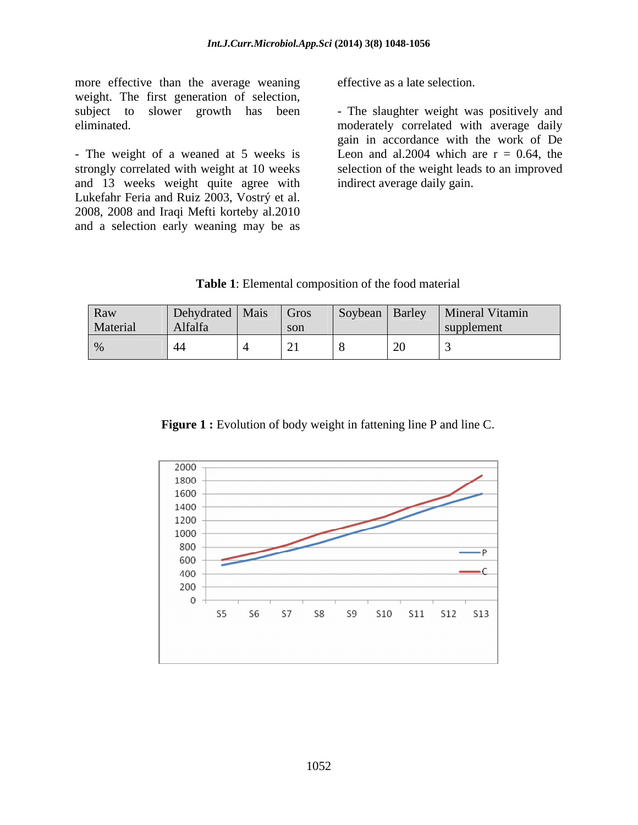more effective than the average weaning weight. The first generation of selection, subject to slower growth has been - The slaughter weight was positively and

- The weight of a weaned at 5 weeks is strongly correlated with weight at 10 weeks and 13 weeks weight quite agree with Lukefahr Feria and Ruiz 2003, Vostrý et al. 2008, 2008 and Iraqi Mefti korteby al.2010 and a selection early weaning may be as

effective as a late selection.

eliminated. moderately correlated with average daily gain in accordance with the work of De Leon and al.2004 which are  $r = 0.64$ , the selection of the weight leads to an improved indirect average daily gain.

| <b>Table</b><br>the<br>material<br>composition of<br>Elemental<br>tooa |  |  |
|------------------------------------------------------------------------|--|--|
|                                                                        |  |  |

**Figure 1 :** Evolution of body weight in fattening line P and line C.

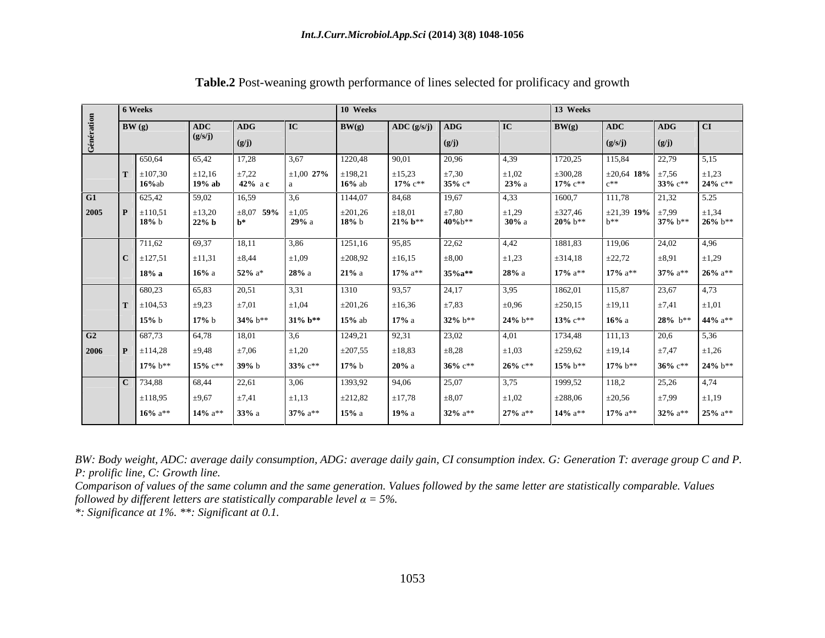|                          | 6 Weeks                                 |                                                                                                                          |                              | 10 Weeks                      |                                                          |                        | 13 Weeks                |                                        |                                                                                                    |            |
|--------------------------|-----------------------------------------|--------------------------------------------------------------------------------------------------------------------------|------------------------------|-------------------------------|----------------------------------------------------------|------------------------|-------------------------|----------------------------------------|----------------------------------------------------------------------------------------------------|------------|
|                          | $\mathbf{B}(\mathbf{g})$                | ADG -                                                                                                                    |                              |                               | $\left  \text{ ADC } (\text{g/s/j}) \right  \text{ ADG}$ |                        |                         |                                        |                                                                                                    |            |
|                          |                                         |                                                                                                                          |                              |                               |                                                          |                        |                         |                                        | $\mid$ (g/J)                                                                                       |            |
| $\sim$ $\sim$            | 650,64                                  | 65,42                                                                                                                    |                              | 1220,48                       | 90,01<br>20.96                                           |                        | 720,25                  | 15,84                                  |                                                                                                    |            |
|                          | 107,30                                  |                                                                                                                          |                              |                               |                                                          |                        |                         |                                        |                                                                                                    |            |
|                          | $16\%$ ab                               | $\begin{array}{cc} \pm 12.16 \\ 19\% \text{ ab} \end{array}$ $\begin{array}{cc} \pm 7.22 \\ 42\% \text{ ac} \end{array}$ |                              | $\pm 198,21$<br><b>16%</b> ab | $17\%~{\rm c}^{**}$<br>$35\%~c*$                         | $23%$ a                | $\pm 300,28$<br>17% c** |                                        | $\begin{array}{ l l }\n\hline\n6 & \pm 7,56 \\ \hline\n33\% & c^{**} & 24\% & c^{**}\n\end{array}$ |            |
|                          | $G1$ 625,42                             | 59,02<br>16,59                                                                                                           | <b>13.6</b>                  | 1144,07                       | 19,67<br>84,68                                           | 4,33                   | 1600,7                  | 111,78                                 | 21,32 5.25                                                                                         |            |
|                          | 2005 $\boxed{\mathbf{P}}$ $\pm 110,51$  | $\pm 13,20$                                                                                                              | $\pm 8,07$ 59% $\pm 1,05$    |                               | $\pm 18,01$<br>$\pm 7,80$                                | $\pm 1,29$             | ±327,46                 |                                        | 21,39 <b>19%</b> $\pm 7,99$ $\pm 1,34$                                                             |            |
|                          | 18% b                                   | $22\%$ b                                                                                                                 | 29%a                         | $\pm 201,26$<br>18% b         | $21\% b***$<br>40%b**                                    | $30\%$ a               | $20\%~b***$             |                                        | 37% b** 26% b**                                                                                    |            |
|                          | $\begin{array}{ccc} \hline \end{array}$ | 69.37<br>18.11                                                                                                           | 3.86                         | 1251,16                       | 95,85                                                    |                        | 1881.83                 | 119.06                                 |                                                                                                    | 14.96      |
|                          | 1,62                                    |                                                                                                                          |                              |                               |                                                          | 4,42                   |                         |                                        |                                                                                                    |            |
|                          | :127,51                                 | $\pm 11,31$ $\pm 8,44$                                                                                                   | $\pm 1,09$                   | ±208,92                       | $\pm 16,15$<br>$\pm 8,00$                                | $\pm 1,23$             | $\pm 314,18$            | ±22,72                                 | $\pm 8.91$                                                                                         | $\pm 1,29$ |
|                          | $\blacksquare$ 18% a                    | $52\%$ a <sup>*</sup><br>$16\%$ a                                                                                        | 28%a                         | $21\%$ a                      | 17% $a^{**}$ 35% $a^{**}$                                | 28%a                   | 17% $a^{**}$            |                                        | 17% $a^{**}$ 37% $a^{**}$ 26% $a^{**}$                                                             |            |
|                          | 680,23                                  | 65,83                                                                                                                    |                              | 1310                          | l 24.17                                                  | 3.95                   | 1862,01                 | 115.87                                 |                                                                                                    |            |
|                          | $\mathbf{T}$ $\pm 104,53$               | $\pm 9,23$<br>$\pm 7.01$                                                                                                 | $\pm 1,04$                   | $\pm 201,26$                  | $\pm 7,83$<br>$\pm 16,36$                                | $\pm 0.96$             | ±250,15                 | $\pm 19,11$                            | $+7.41$                                                                                            | $\pm 1,01$ |
|                          | 15% b                                   | 17% b 34% b** 31% b** 15% ab                                                                                             |                              |                               | $32\%~b***$<br>$17\%$ a                                  | $24\%~b***$            | $13\%~c**$              | 16% a                                  | $28\%$ b <sup>**</sup> 44% a <sup>*</sup>                                                          |            |
|                          | G <sub>2</sub> 687,73                   | 64,78<br>18,01                                                                                                           |                              | 1249,21                       | 92,31<br>23,02                                           | 4.01                   | 734,48                  | 11.13                                  | $-20.6$                                                                                            | 5.36       |
|                          |                                         | $\pm 7.06$                                                                                                               |                              | ±207,55                       |                                                          |                        |                         |                                        | $+747$                                                                                             |            |
| 2006 $\boxed{P}$ $\pm 1$ | 114,28                                  | $\pm 9,48$                                                                                                               |                              |                               | $\pm 18,83$<br>$\pm 8.28$                                | $\pm 1.03$             | ±259,62                 | $\pm 19,14$                            |                                                                                                    |            |
|                          | $17\%~b***$                             | $15\% \; c^{**}$ 39% b                                                                                                   | $33\%$ c**                   | $17\%$ b                      | $36\%$ c**<br>$20\%$ a                                   | $26\%~c**$             | $15\%~b**$              |                                        | 17% b** 36% c** 24% b*                                                                             |            |
|                          | $2 \mid 734,88$                         | 68,44<br>22.61                                                                                                           | 3.06                         | 1393,92   94,06               | 25.07                                                    | 3.75                   | 1999,52                 |                                        | 12526                                                                                              | 4.74       |
|                          | ±118,95                                 | $\pm 9,67$<br>$\pm 7.41$                                                                                                 | $\pm 1.13$                   | ±212,82                       | $\pm$ 17.78<br>$\pm 8.07$                                | $\pm 1,02$             | ±288,06                 | ±20,56                                 | $+7.99 +1.19$                                                                                      |            |
|                          | $16\%$ a <sup>**</sup>                  | 14% $a^{**}$<br>33% a                                                                                                    | $37\%$ a <sup>**</sup> 15% a |                               | $32\%$ a**<br>19% a                                      | $27\%$ a <sup>**</sup> | $14\%$ a**              | 17% $a^{**}$ 32% $a^{**}$ 25% $a^{**}$ |                                                                                                    |            |

**Table.2** Post-weaning growth performance of lines selected for prolificacy and growth

*BW: Body weight, ADC: average daily consumption, ADG: average daily gain, CI consumption index. G: Generation T: average group C and P. P: prolific line, C: Growth line.*

*Comparison of values of the same column and the same generation. Values followed by the same letter are statistically comparable. Values followed by different letters are statistically comparable level*  $\alpha = 5\%$ .

*\*: Significance at 1%. \*\*: Significant at 0.1.*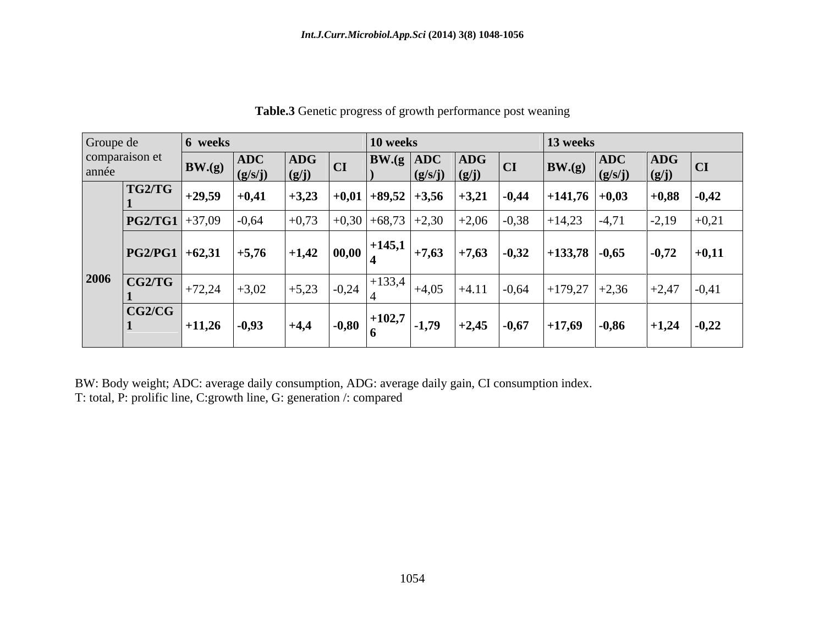| Groupe de               | 6 weeks                   |                                                                                                       |                                       | $ 10 \text{ weeks} $                                                             |                                         | 13 weeks |                                                                                                                |                                                                        |    |
|-------------------------|---------------------------|-------------------------------------------------------------------------------------------------------|---------------------------------------|----------------------------------------------------------------------------------|-----------------------------------------|----------|----------------------------------------------------------------------------------------------------------------|------------------------------------------------------------------------|----|
| comparaison et<br>année |                           | $\begin{array}{ c c c }\n\hline\n\text{BW.}(g) & \text{ADC} \\ \hline\n(g/s/j) & \hline\n\end{array}$ | $\vert$ ADG<br>CI<br>$\frac{g(j)}{j}$ | $\vert$ BW.(g $\vert$ ADC $\vert$ ADG $\vert$<br>$(g/s/j)$ $(g/j)$               |                                         |          | $\boxed{\text{BW.(g)} \begin{bmatrix} \text{ADC} & \text{ADG} \\ (\text{g/s/j}) & (\text{g/j}) \end{bmatrix}}$ | $\vert$ ADG $\vert$                                                    | CI |
| TG2/TG                  | $ +29,59 +0,41$           |                                                                                                       |                                       | $\vert +3,23 \vert +0,01 \vert +89,52 \vert +3,56 \vert +3,21 \vert -0,44 \vert$ |                                         |          | $ +141,76 +0,03 $                                                                                              | $ +0,88 $ -0,42                                                        |    |
|                         | $ PG2/TG1  + 37,09$ -0.64 |                                                                                                       |                                       | $\mid +0.73 \mid +0.30 \mid +68.73 \mid +2.30 \mid +2.06 \mid -0.38 \mid$        |                                         |          | $+14,23$ $-4,71$                                                                                               | $-2,19$ $+0,21$                                                        |    |
|                         | $ PG2/PG1  + 62, 31$      | $+5,76$                                                                                               | $ +1,42 00,00 $                       | $+145,1$                                                                         | $\mid +7,63 \mid +7,63 \mid -0,32 \mid$ |          | $ +133,78 $ -0,65                                                                                              | $\begin{array}{ c c c c c } \hline -0,72 & +0,11 \\\hline \end{array}$ |    |
| 2006<br>CG2/TG          | $+72,24$                  | $+3,02$                                                                                               |                                       | $  +5,23 $ $-0,24$ $+133,4$                                                      | $+4,05$ +4.11 -0.64                     |          | $+179,27$ +2,36                                                                                                | $ +2,47 $ -0,41                                                        |    |
| CG2/CG                  |                           | $ +11,26$ -0,93                                                                                       | $+4,4$<br>$\vert$ -0,80               | $+102,7$<br>$-1,79$                                                              | $ +2,45 $ -0,67                         | $+17,69$ | $-0,86$                                                                                                        | $ +1,24 $ -0,22                                                        |    |

**Table.3** Genetic progress of growth performance post weaning

BW: Body weight; ADC: average daily consumption, ADG: average daily gain, CI consumption index. T: total, P: prolific line, C:growth line, G: generation /: compared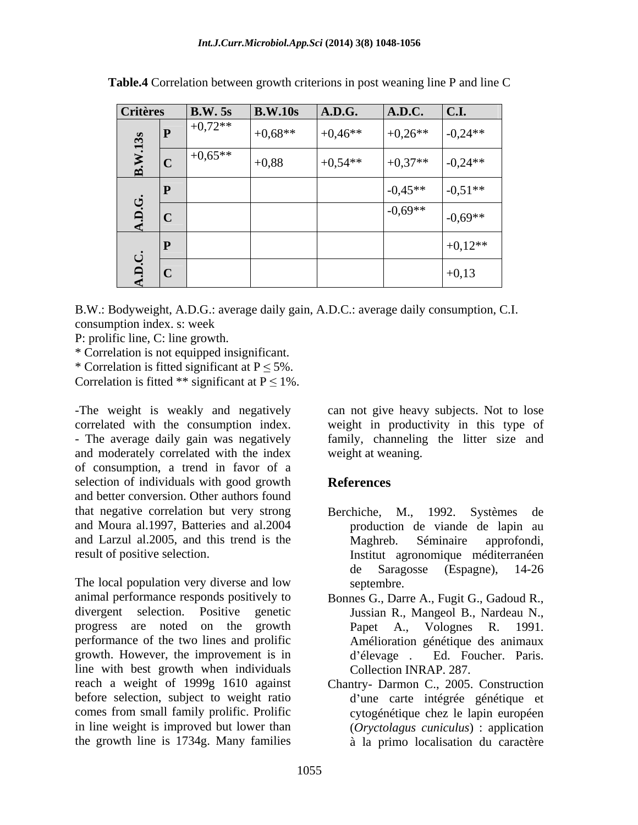| <b>Critères</b>                    |             | $\vert$ B.W. 5s                                                                                                                                                                | $\big $ B.W.10s           | A.D.G.    | $A.D.C.$ $C.I.$ |           |
|------------------------------------|-------------|--------------------------------------------------------------------------------------------------------------------------------------------------------------------------------|---------------------------|-----------|-----------------|-----------|
|                                    |             |                                                                                                                                                                                | $\boxed{+0.68**}$ +0.46** |           | $+0,26**$       | $-0,24**$ |
|                                    |             | $\begin{array}{c c}\n & \text{P} & +0.72** \\ \hline\n\vdots & \ddots & \vdots \\ \hline\n\vdots & \ddots & \vdots \\ \hline\n\vdots & \ddots & \vdots \\ \hline\n\end{array}$ | $+0,88$                   | $+0,54**$ | $+0,37**$       | $-0,24**$ |
|                                    | P           |                                                                                                                                                                                |                           |           | $-0.45**$       | $-0.51**$ |
| A.D.G.<br>$\overline{\phantom{a}}$ | C           |                                                                                                                                                                                |                           |           | $-0,69**$       | $-0,69**$ |
|                                    | $ {\bf P} $ |                                                                                                                                                                                |                           |           |                 | $+0,12**$ |
| A.D.C.                             | $ {\bf C} $ |                                                                                                                                                                                |                           |           |                 | $+0,13$   |

**Table.4** Correlation between growth criterions in post weaning line P and line C

B.W.: Bodyweight, A.D.G.: average daily gain, A.D.C.: average daily consumption, C.I. consumption index. s: week

P: prolific line, C: line growth.

\* Correlation is not equipped insignificant.

\* Correlation is fitted significant at  $P \le 5\%$ .

Correlation is fitted \*\* significant at  $P \le 1\%$ .

-The weight is weakly and negatively can not give heavy subjects. Not to lose correlated with the consumption index. weight in productivity in this type of - The average daily gain was negatively family, channeling the litter size and and moderately correlated with the index of consumption, a trend in favor of a selection of individuals with good growth **References** and better conversion. Other authors found that negative correlation but very strong Berchiche, M., 1992. Systèmes de and Moura al.1997, Batteries and al.2004 production de viande de lapin au and Larzul al.2005, and this trend is the Maghreb. Séminaire approfondi,

The local population very diverse and low septembre. animal performance responds positively to Bonnes G., Darre A., Fugit G., Gadoud R., divergent selection. Positive genetic Jussian R., Mangeol B., Nardeau N., progress are noted on the growth Papet A., Volognes R. 1991. performance of the two lines and prolific growth. However, the improvement is in d'élevage . Ed. Foucher. Paris. line with best growth when individuals reach a weight of 1999g 1610 against Chantry- Darmon C., 2005. Construction before selection, subject to weight ratio comes from small family prolific. Prolific cytogénétique chez le lapin européen in line weight is improved but lower than (*Oryctolagus cuniculus*) : application

weight at weaning.

# **References**

- result of positive selection. Institut agronomique méditerranéen Berchiche, M., 1992. Maghreb. Séminaire approfondi, de Saragosse (Espagne), 14-26 septembre.
	- Papet A., Volognes R. 1991. Amélioration génétique des animaux d élevage . Ed. Foucher. Paris. Collection INRAP. 287.
- the growth line is 1734g. Many families à la primo localisation du caractèred'une carte intégrée génétique et